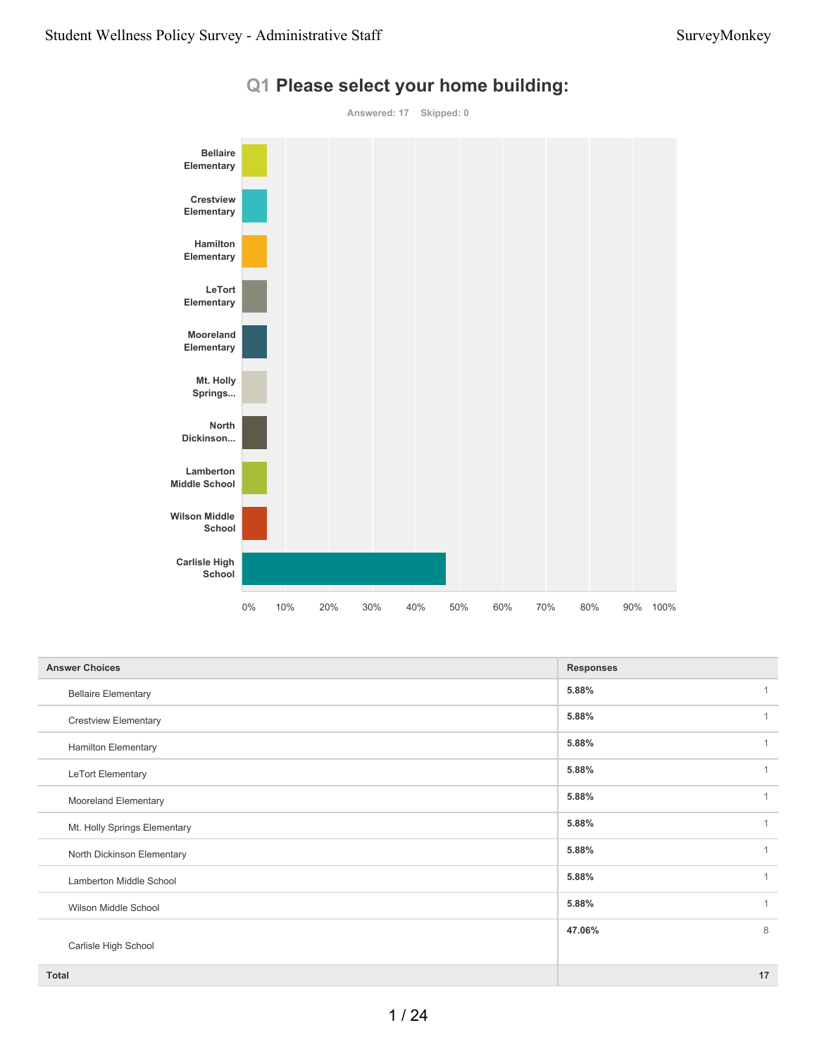

#### **Q1 Please select your home building:**

| <b>Answer Choices</b>        | <b>Responses</b>        |
|------------------------------|-------------------------|
| <b>Bellaire Elementary</b>   | 5.88%                   |
| <b>Crestview Elementary</b>  | 5.88%<br>1              |
| <b>Hamilton Elementary</b>   | 5.88%<br>1              |
| LeTort Elementary            | 5.88%<br>1              |
| Mooreland Elementary         | 5.88%<br>$\overline{1}$ |
| Mt. Holly Springs Elementary | 5.88%<br>$\overline{1}$ |
| North Dickinson Elementary   | 5.88%<br>1              |
| Lamberton Middle School      | 5.88%<br>$\overline{1}$ |
| Wilson Middle School         | 5.88%<br>1              |
|                              | 8<br>47.06%             |
| Carlisle High School         |                         |
| <b>Total</b>                 | 17                      |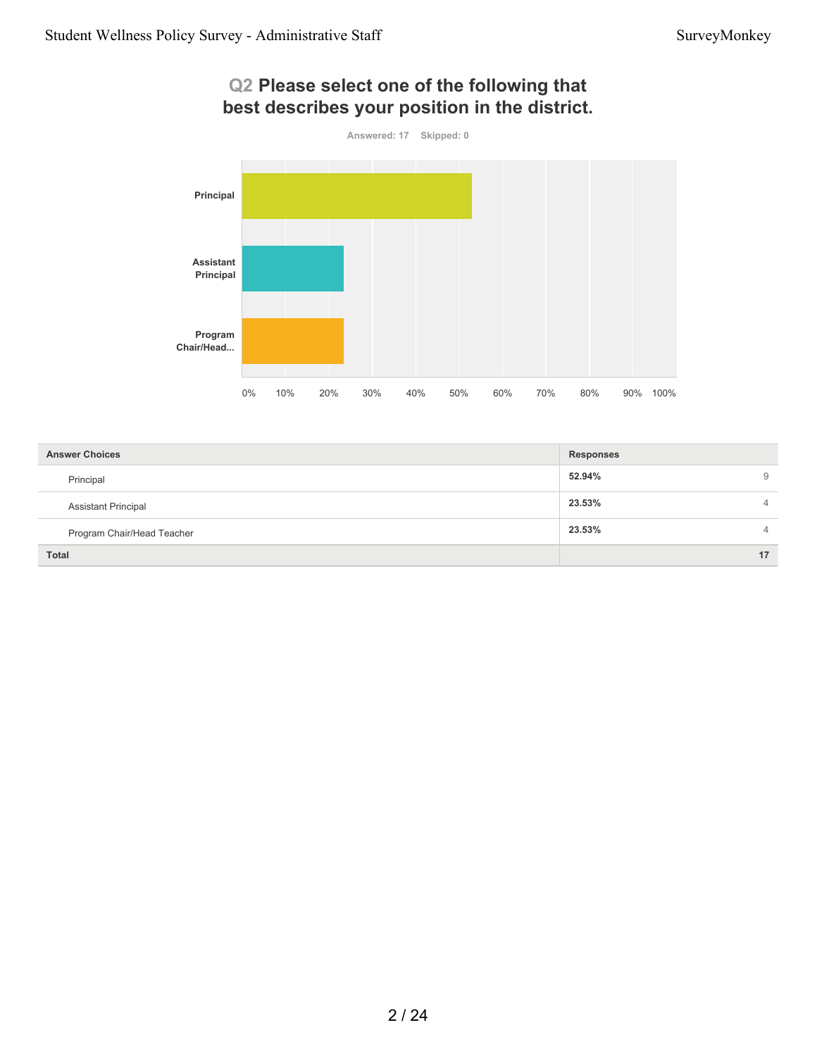# **Q2 Please select one of the following that best describes your position in the district.**



| <b>Answer Choices</b>      | <b>Responses</b> |                |
|----------------------------|------------------|----------------|
| Principal                  | 52.94%           | 9              |
| <b>Assistant Principal</b> | 23.53%           | $\overline{4}$ |
| Program Chair/Head Teacher | 23.53%           | $\overline{4}$ |
| <b>Total</b>               |                  | 17             |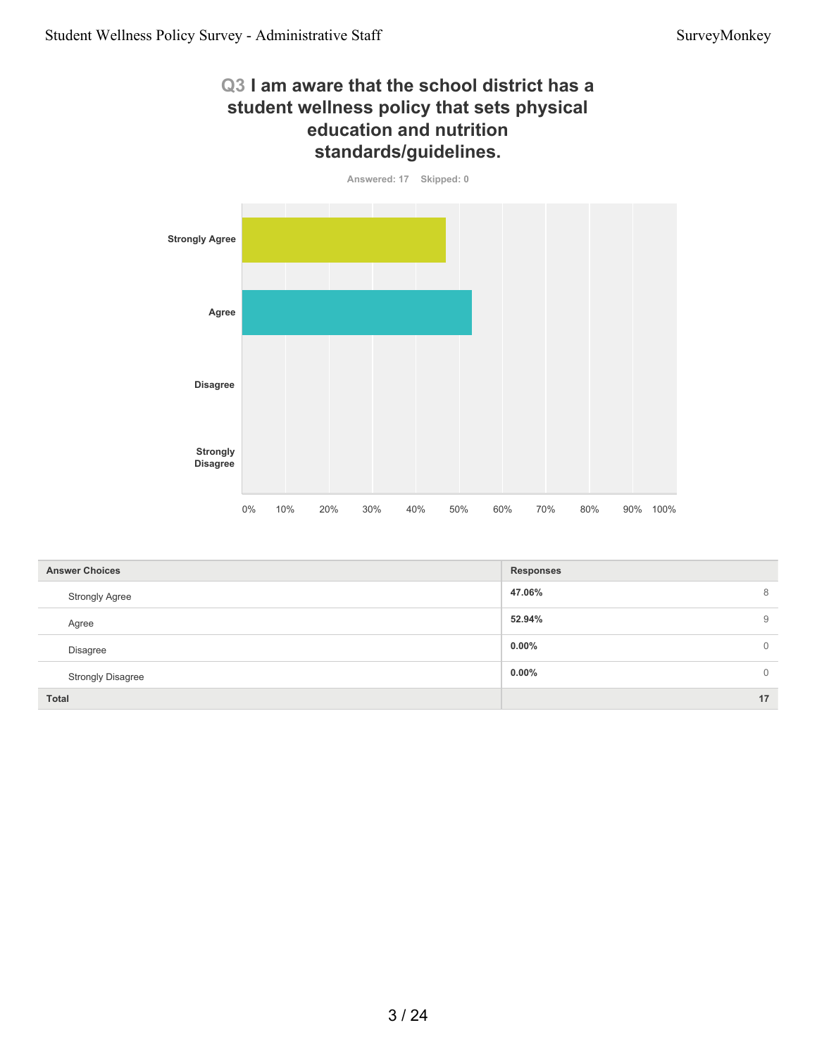# **Q3 I am aware that the school district has a student wellness policy that sets physical education and nutrition standards/guidelines.**



| <b>Answer Choices</b>    | <b>Responses</b> |                |
|--------------------------|------------------|----------------|
| <b>Strongly Agree</b>    | 47.06%           | 8              |
| Agree                    | 52.94%           | 9              |
| <b>Disagree</b>          | $0.00\%$         | $\mathbf{0}$   |
| <b>Strongly Disagree</b> | $0.00\%$         | $\overline{0}$ |
| <b>Total</b>             |                  | 17             |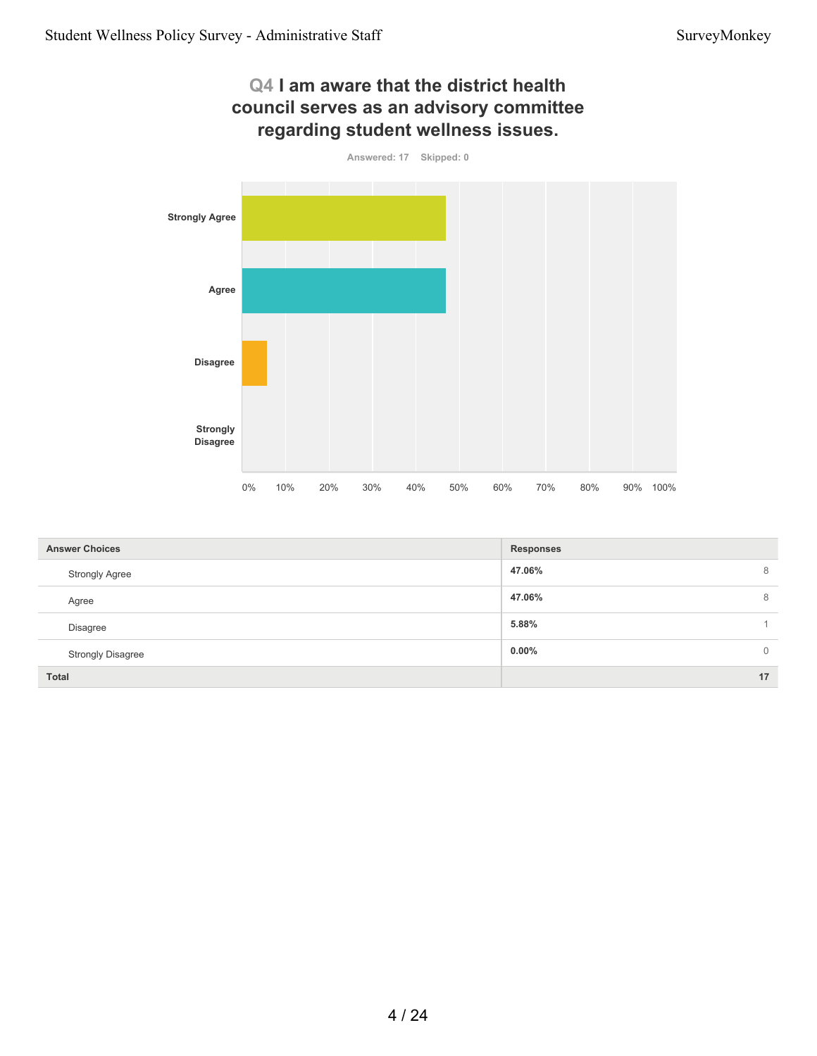

| <b>Answer Choices</b>    | <b>Responses</b>         |
|--------------------------|--------------------------|
| <b>Strongly Agree</b>    | 47.06%<br>8              |
| Agree                    | 47.06%<br>8              |
| Disagree                 | 5.88%                    |
| <b>Strongly Disagree</b> | $0.00\%$<br>$\mathbf{0}$ |
| <b>Total</b>             | 17                       |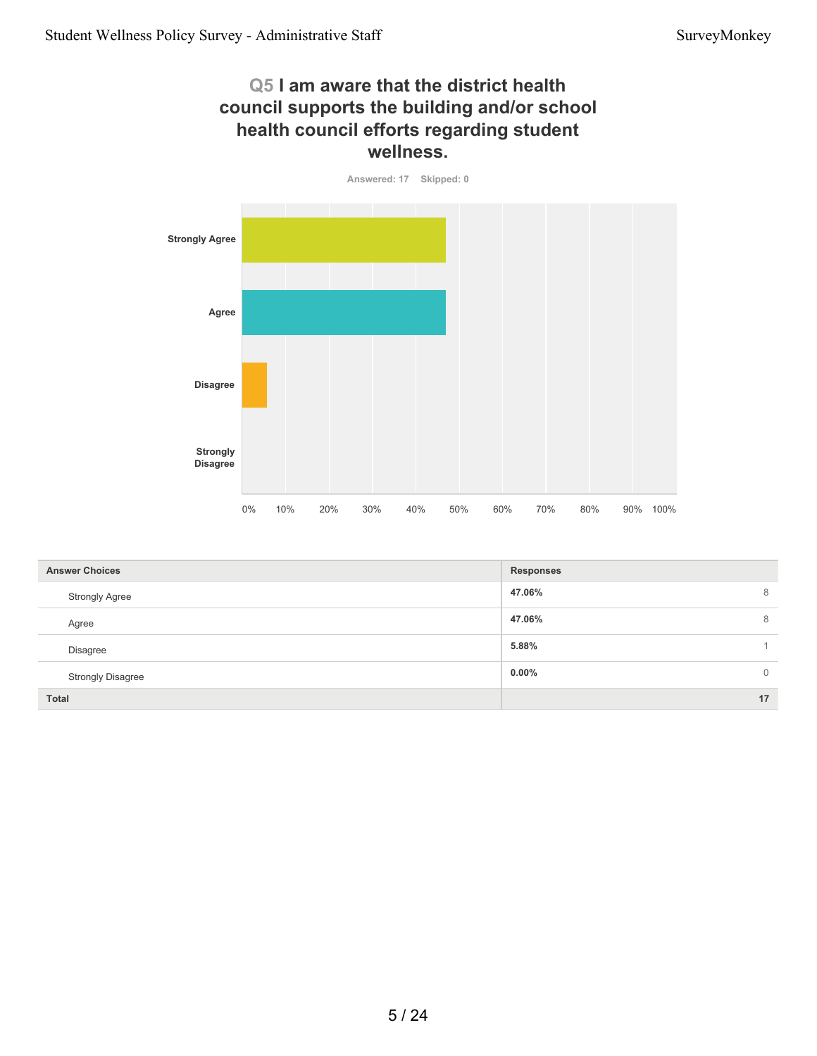#### **Q5 I am aware that the district health council supports the building and/or school health council efforts regarding student wellness.**



| <b>Answer Choices</b>    | <b>Responses</b>           |
|--------------------------|----------------------------|
| <b>Strongly Agree</b>    | 47.06%<br>8                |
| Agree                    | 47.06%<br>8                |
| <b>Disagree</b>          | 5.88%                      |
| <b>Strongly Disagree</b> | $0.00\%$<br>$\overline{0}$ |
| <b>Total</b>             | 17                         |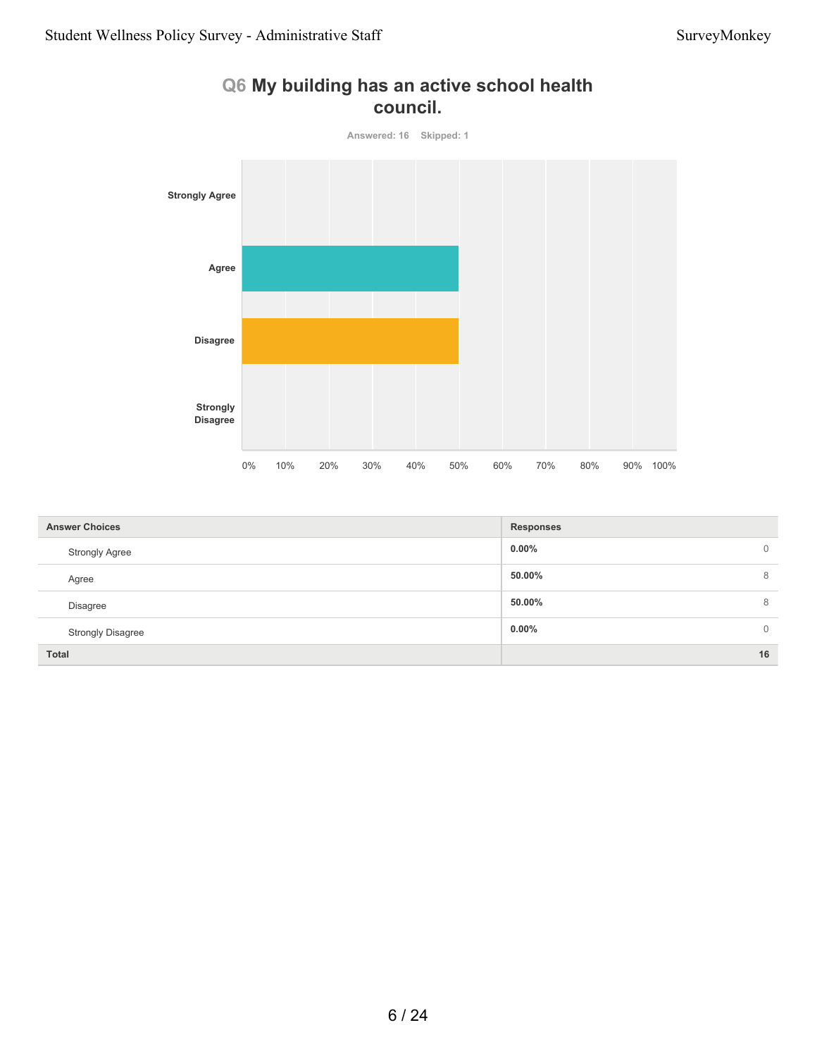

## **Q6 My building has an active school health council.**

| <b>Answer Choices</b>    | <b>Responses</b>         |
|--------------------------|--------------------------|
| <b>Strongly Agree</b>    | $0.00\%$<br>$\mathbf{0}$ |
| Agree                    | 8<br>50.00%              |
| Disagree                 | 50.00%<br>8              |
| <b>Strongly Disagree</b> | $0.00\%$<br>$\mathbf 0$  |
| <b>Total</b>             | 16                       |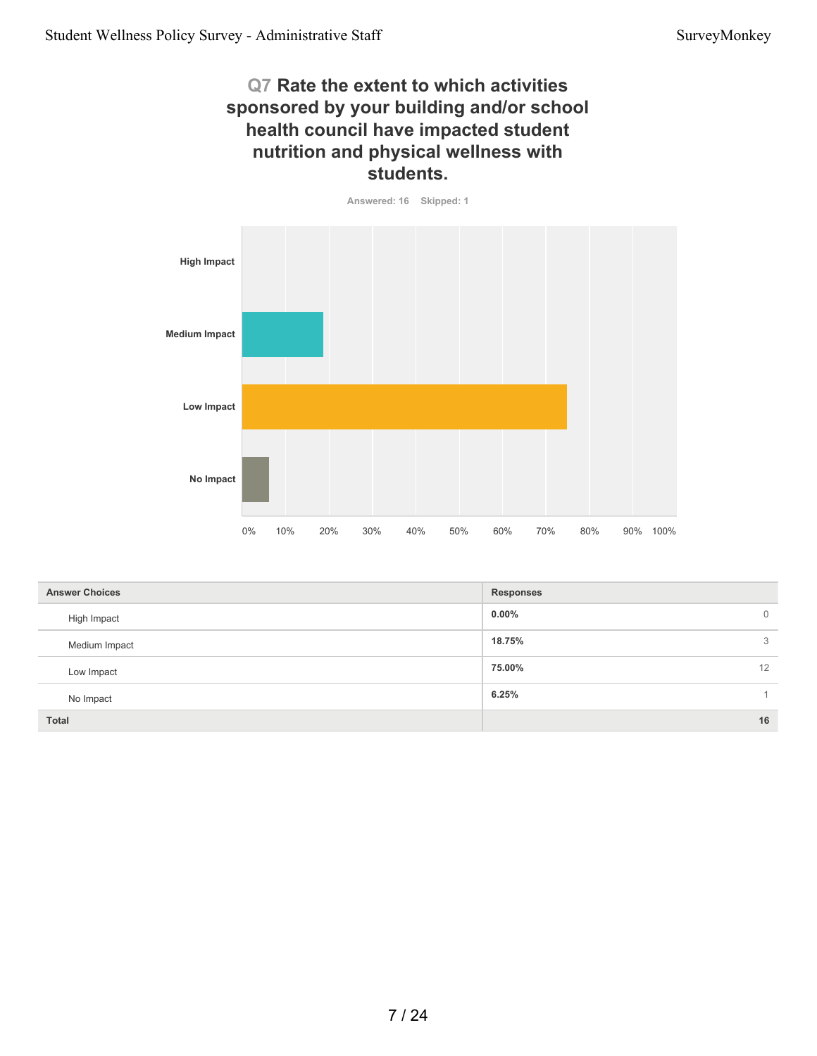# **Q7 Rate the extent to which activities sponsored by your building and/or school health council have impacted student nutrition and physical wellness with students.**



| <b>Answer Choices</b> | <b>Responses</b>    |
|-----------------------|---------------------|
| High Impact           | $0.00\%$<br>$\circ$ |
| Medium Impact         | 18.75%<br>3         |
| Low Impact            | 75.00%<br>12        |
| No Impact             | 6.25%               |
| Total                 | 16                  |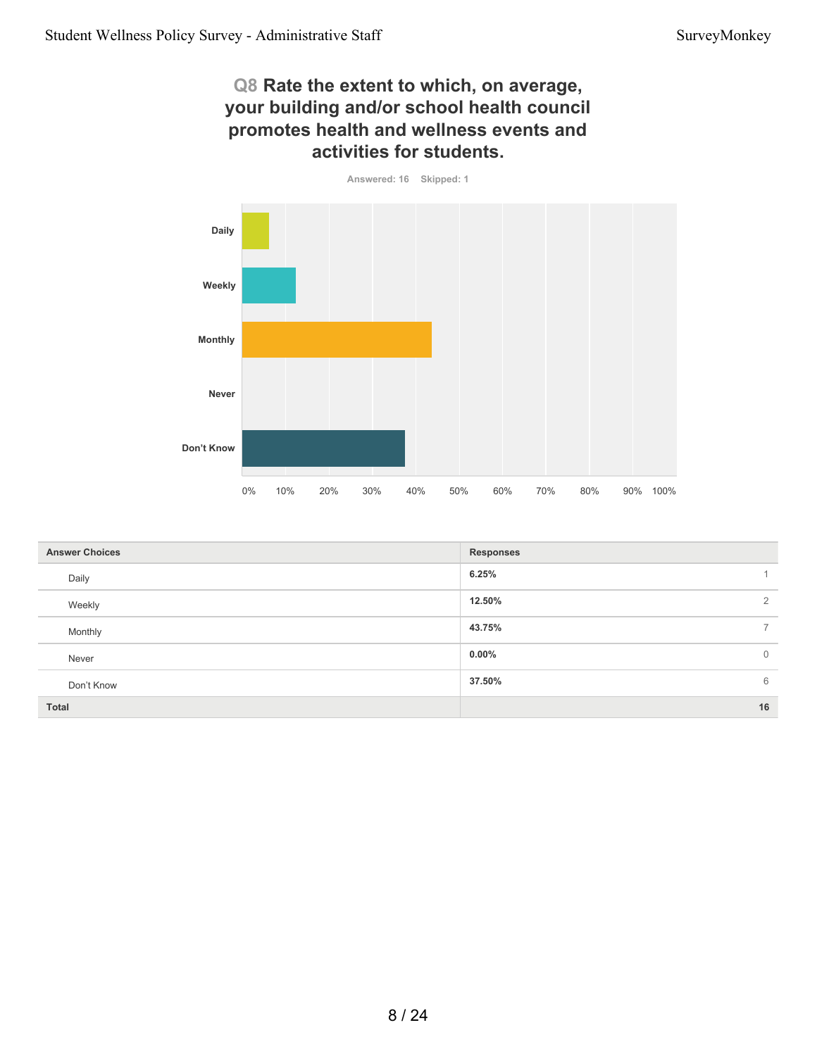#### **Q8 Rate the extent to which, on average, your building and/or school health council promotes health and wellness events and activities for students.**

**Answered: 16 Skipped: 1**



| <b>Answer Choices</b> | <b>Responses</b>           |
|-----------------------|----------------------------|
| Daily                 | 6.25%                      |
| Weekly                | 12.50%<br>$\overline{2}$   |
| Monthly               | 43.75%<br>$\overline{7}$   |
| Never                 | $0.00\%$<br>$\overline{0}$ |
| Don't Know            | 6<br>37.50%                |
| <b>Total</b>          | 16                         |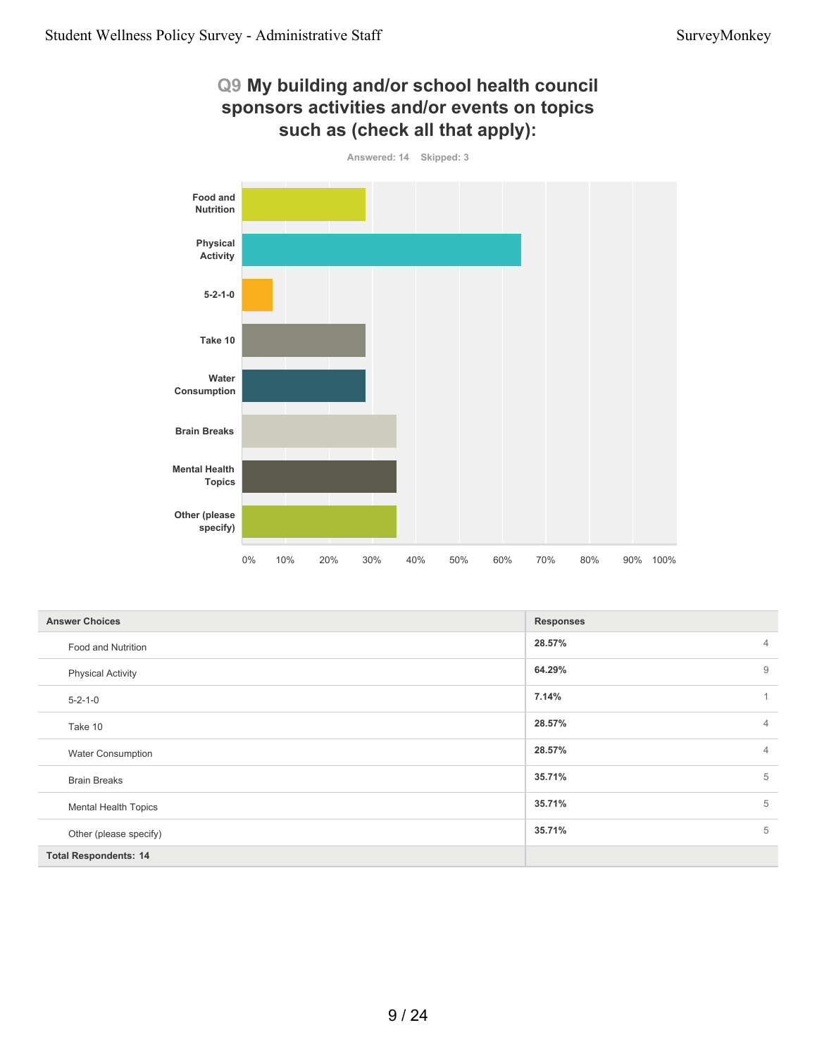

| <b>Answer Choices</b>        | <b>Responses</b>         |
|------------------------------|--------------------------|
| Food and Nutrition           | 28.57%<br>$\overline{4}$ |
| <b>Physical Activity</b>     | 9<br>64.29%              |
| $5 - 2 - 1 - 0$              | 7.14%<br>$\overline{1}$  |
| Take 10                      | 28.57%<br>$\overline{4}$ |
| <b>Water Consumption</b>     | 28.57%<br>$\overline{4}$ |
| <b>Brain Breaks</b>          | 5<br>35.71%              |
| <b>Mental Health Topics</b>  | 5<br>35.71%              |
| Other (please specify)       | 5<br>35.71%              |
| <b>Total Respondents: 14</b> |                          |

9 / 24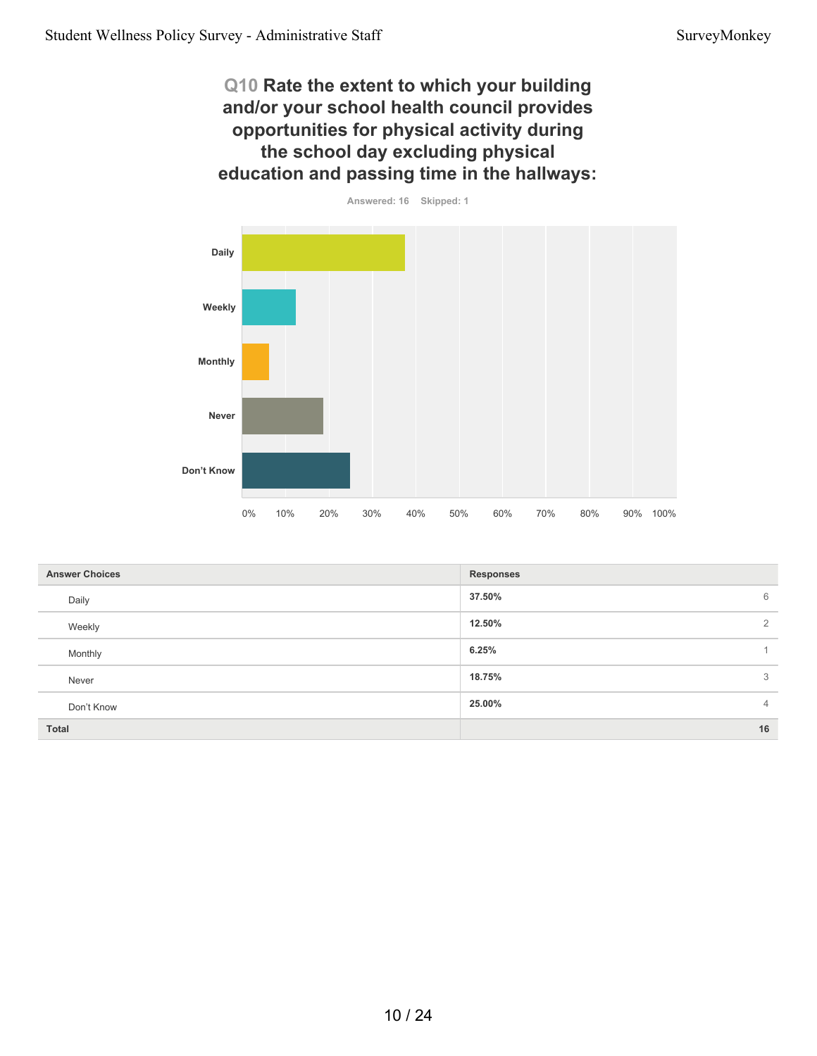**Q10 Rate the extent to which your building and/or your school health council provides opportunities for physical activity during the school day excluding physical education and passing time in the hallways:**



| <b>Answer Choices</b> | <b>Responses</b>         |
|-----------------------|--------------------------|
| Daily                 | 37.50%<br>6              |
| Weekly                | 12.50%<br>2              |
| Monthly               | 6.25%                    |
| Never                 | 18.75%<br>3              |
| Don't Know            | 25.00%<br>$\overline{4}$ |
| Total                 | 16                       |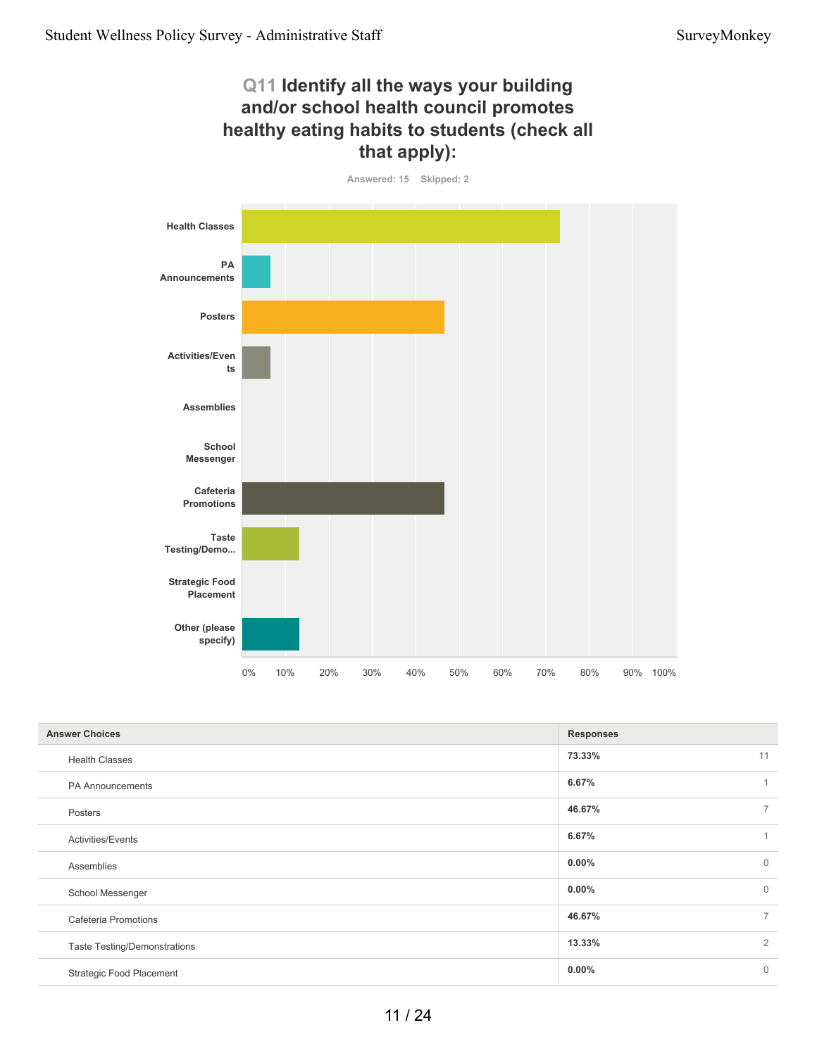# **Q11 Identify all the ways your building and/or school health council promotes healthy eating habits to students (check all that apply):**



| <b>Answer Choices</b>               | <b>Responses</b> |                |
|-------------------------------------|------------------|----------------|
| <b>Health Classes</b>               | 73.33%           | 11             |
| PA Announcements                    | 6.67%            | 1              |
| Posters                             | 46.67%           | $\overline{7}$ |
| Activities/Events                   | 6.67%            | 1              |
| Assemblies                          | $0.00\%$         | $\overline{0}$ |
| School Messenger                    | $0.00\%$         | $\overline{0}$ |
| Cafeteria Promotions                | 46.67%           | $\overline{7}$ |
| <b>Taste Testing/Demonstrations</b> | 13.33%           | 2              |
| <b>Strategic Food Placement</b>     | $0.00\%$         | $\mathbf 0$    |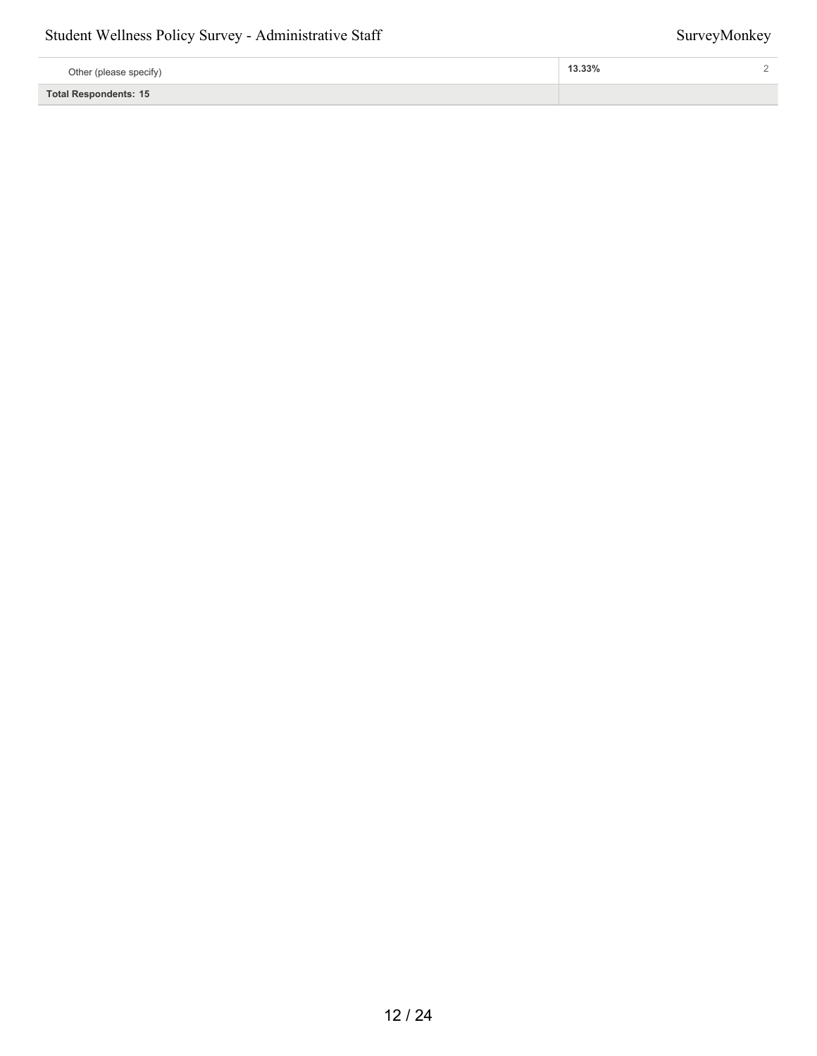#### Student Wellness Policy Survey - Administrative Staff Survey Monkey

| Other (please specify) | 13.33% |  |
|------------------------|--------|--|
| Total Respondents: 15  |        |  |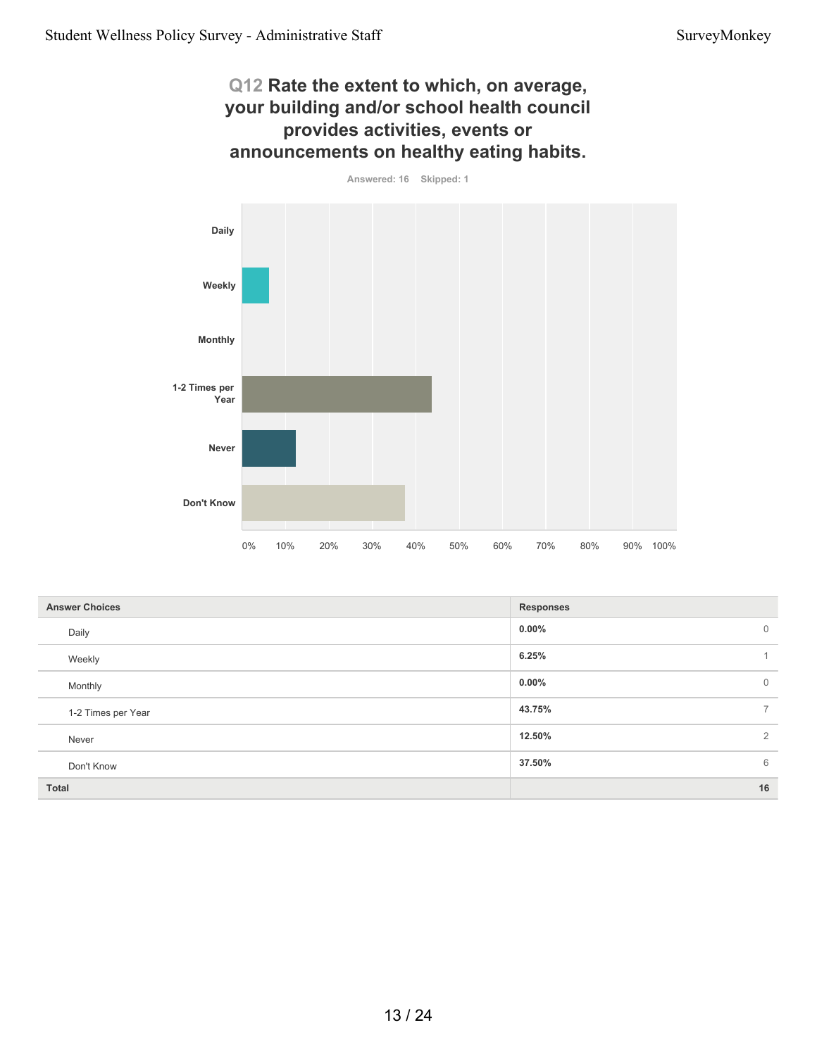#### **Q12 Rate the extent to which, on average, your building and/or school health council provides activities, events or announcements on healthy eating habits.**

**Answered: 16 Skipped: 1**



| <b>Answer Choices</b> | <b>Responses</b>         |
|-----------------------|--------------------------|
| Daily                 | $0.00\%$<br>$\mathbf 0$  |
| Weekly                | 6.25%<br>$\overline{A}$  |
| Monthly               | $0.00\%$<br>$\mathbf 0$  |
| 1-2 Times per Year    | 43.75%<br>$\overline{7}$ |
| Never                 | $\overline{2}$<br>12.50% |
| Don't Know            | 37.50%<br>6              |
| <b>Total</b>          | 16                       |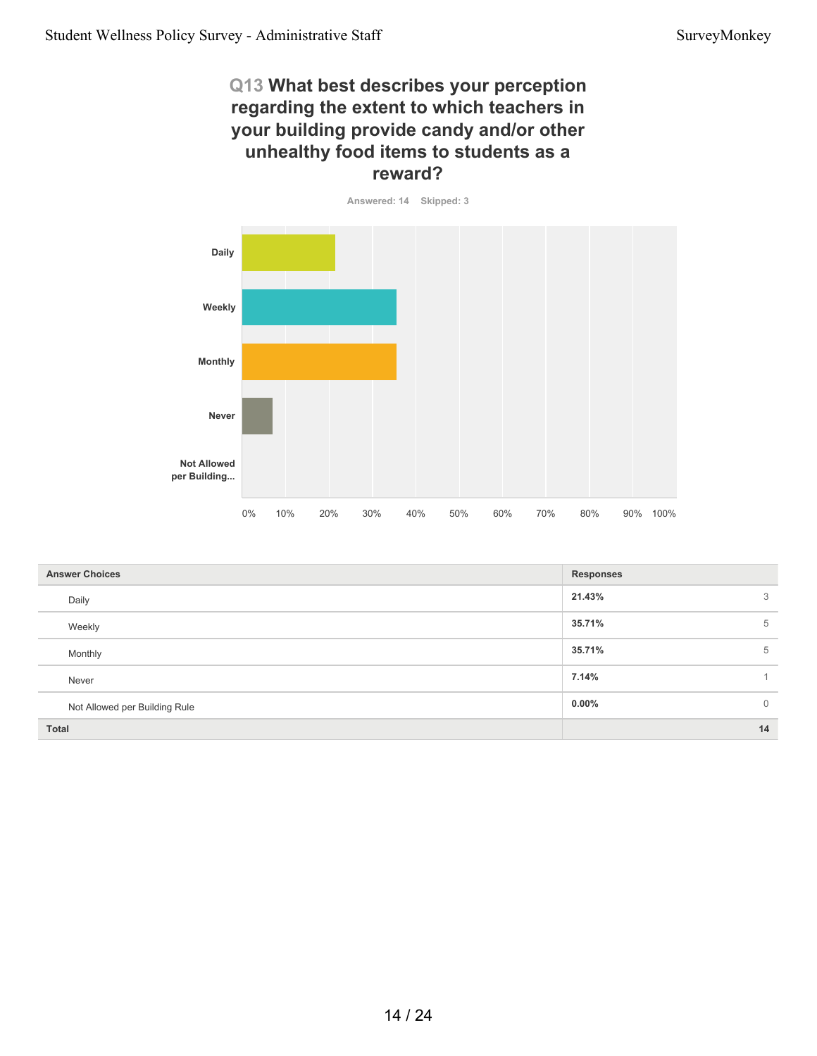## **Q13 What best describes your perception regarding the extent to which teachers in your building provide candy and/or other unhealthy food items to students as a reward?**



| <b>Answer Choices</b>         | <b>Responses</b>        |
|-------------------------------|-------------------------|
| Daily                         | 21.43%<br>3             |
| Weekly                        | 35.71%<br>5             |
| Monthly                       | 35.71%<br>5             |
| Never                         | 7.14%                   |
| Not Allowed per Building Rule | $0.00\%$<br>$\mathbf 0$ |
| <b>Total</b>                  | 14                      |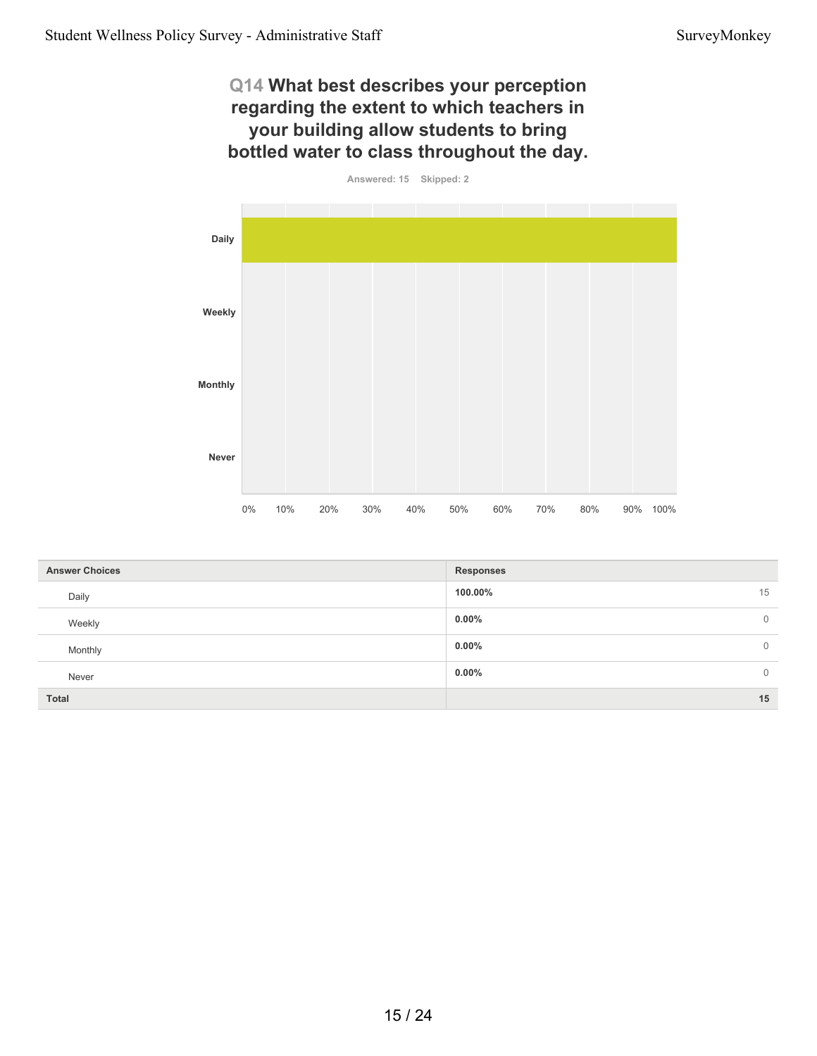# **Q14 What best describes your perception regarding the extent to which teachers in your building allow students to bring bottled water to class throughout the day.**



| <b>Answer Choices</b> | <b>Responses</b>           |
|-----------------------|----------------------------|
| Daily                 | 15<br>100.00%              |
| Weekly                | $0.00\%$<br>$\overline{0}$ |
| Monthly               | $0.00\%$<br>$\overline{0}$ |
| Never                 | $0.00\%$<br>$\overline{0}$ |
| <b>Total</b>          | 15                         |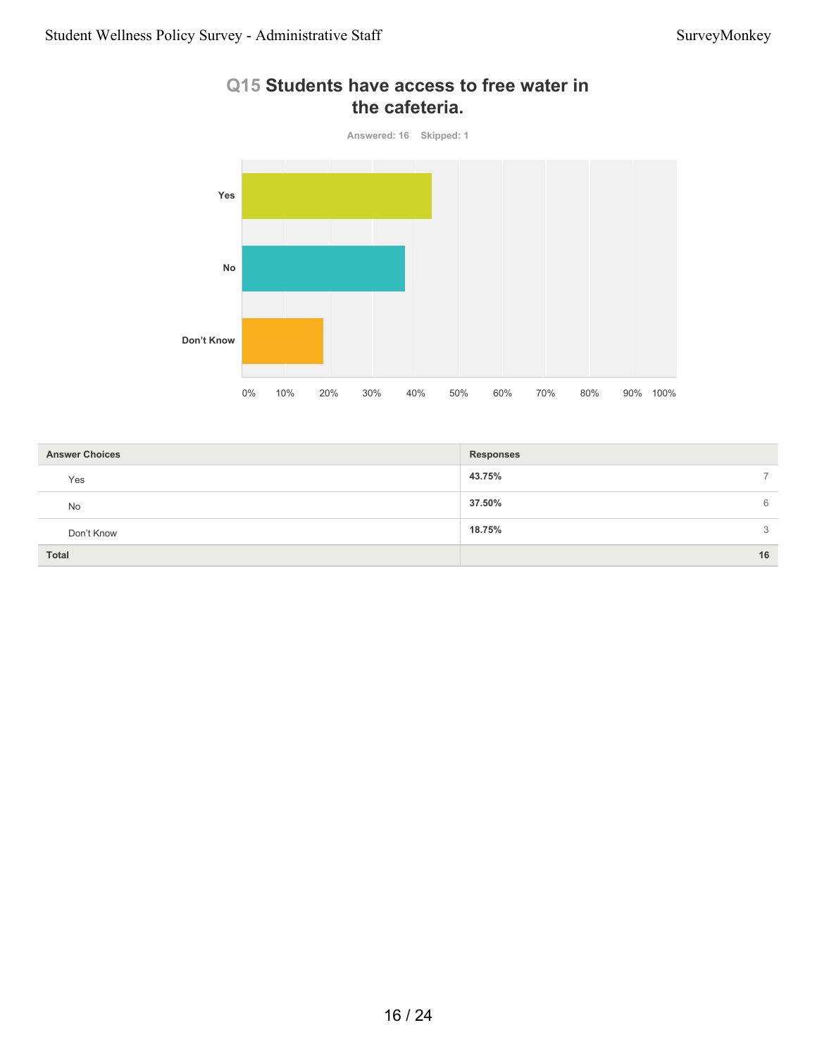

# **Q15 Students have access to free water in the cafeteria.**

| <b>Answer Choices</b> | <b>Responses</b> |
|-----------------------|------------------|
| Yes                   | 43.75%           |
| <b>No</b>             | 37.50%<br>6      |
| Don't Know            | 18.75%<br>3      |
| <b>Total</b>          | 16               |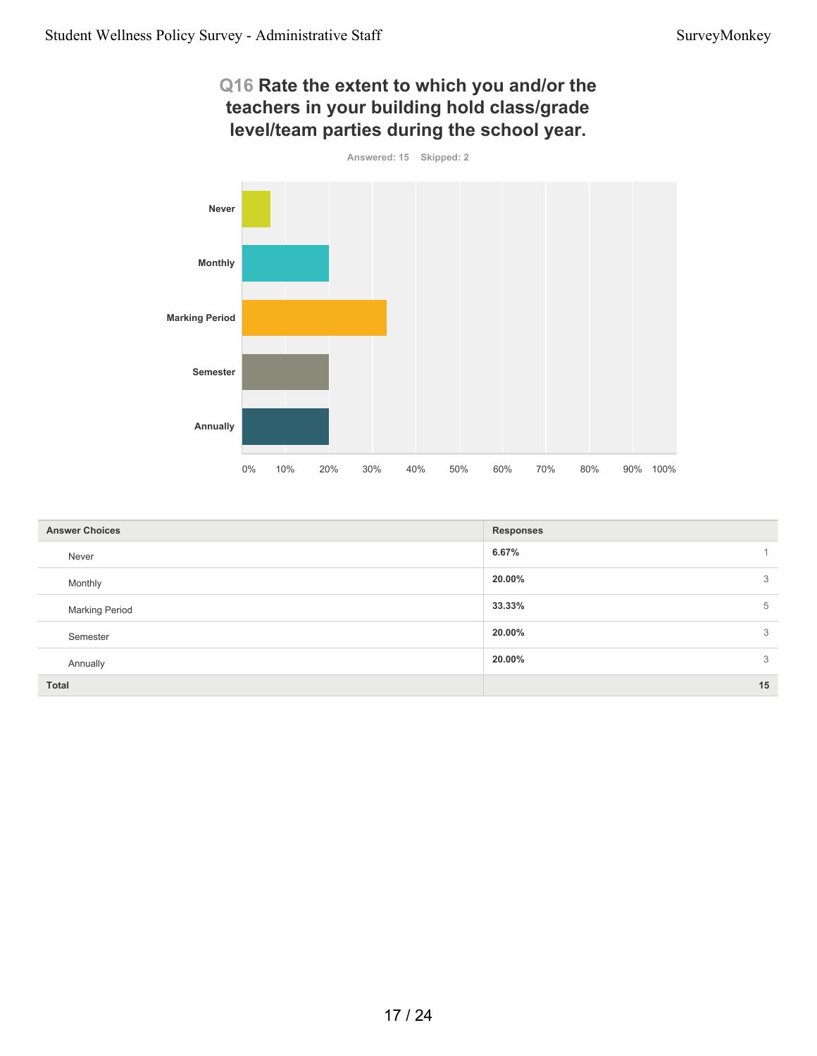#### **Q16 Rate the extent to which you and/or the teachers in your building hold class/grade level/team parties during the school year.**



| <b>Answer Choices</b> | <b>Responses</b> |
|-----------------------|------------------|
| Never                 | 6.67%            |
| Monthly               | 20.00%<br>3      |
| <b>Marking Period</b> | 33.33%<br>5      |
| Semester              | 20.00%<br>3      |
| Annually              | 3<br>20.00%      |
| Total                 | 15               |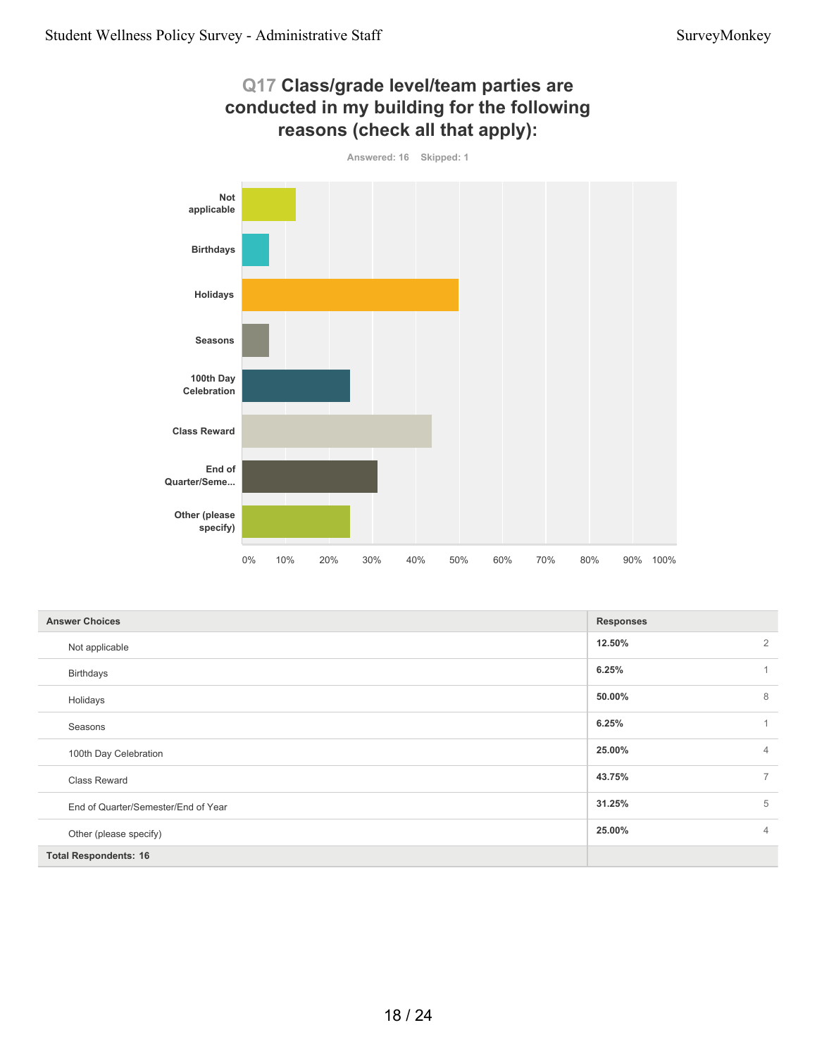

| Q17 Class/grade level/team parties are     |
|--------------------------------------------|
| conducted in my building for the following |
| reasons (check all that apply):            |

| <b>Answer Choices</b>               | <b>Responses</b>         |
|-------------------------------------|--------------------------|
| Not applicable                      | 12.50%<br>$\overline{2}$ |
| <b>Birthdays</b>                    | 6.25%                    |
| Holidays                            | 8<br>50.00%              |
| Seasons                             | 6.25%                    |
| 100th Day Celebration               | 25.00%<br>$\overline{4}$ |
| Class Reward                        | 43.75%<br>$\overline{7}$ |
| End of Quarter/Semester/End of Year | 5<br>31.25%              |
| Other (please specify)              | 25.00%<br>$\overline{4}$ |
| <b>Total Respondents: 16</b>        |                          |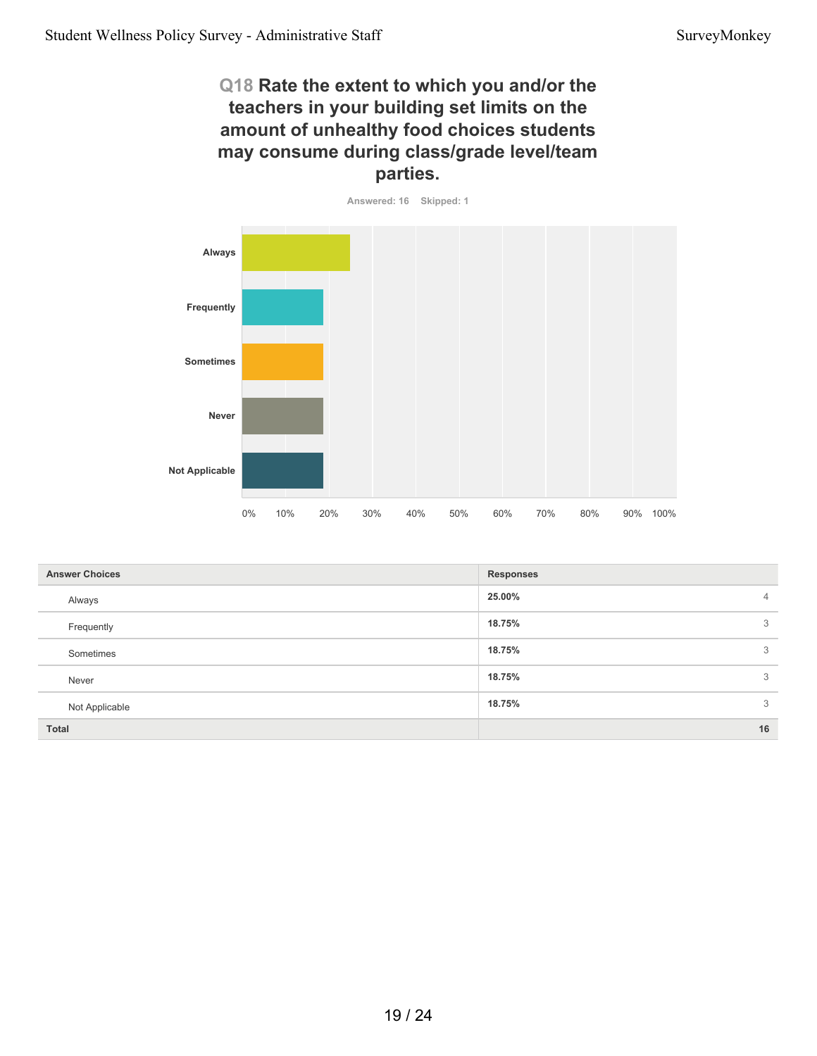# **Q18 Rate the extent to which you and/or the teachers in your building set limits on the amount of unhealthy food choices students may consume during class/grade level/team parties.**



| <b>Answer Choices</b> | <b>Responses</b>         |
|-----------------------|--------------------------|
| Always                | 25.00%<br>$\overline{4}$ |
| Frequently            | 18.75%<br>3              |
| Sometimes             | 18.75%<br>3              |
| Never                 | 18.75%<br>3              |
| Not Applicable        | 3<br>18.75%              |
| Total                 | 16                       |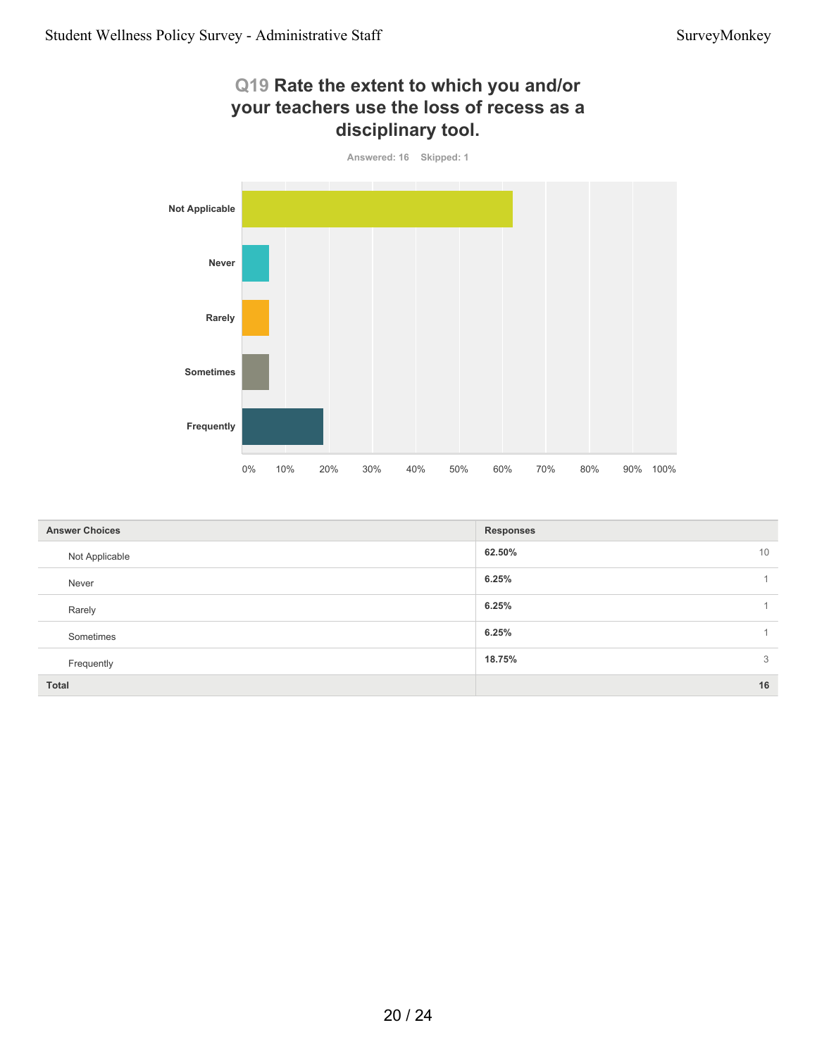**Sometimes**

**Frequently**

# **Q19 Rate the extent to which you and/or your teachers use the loss of recess as a disciplinary tool. Answered: 16 Skipped: 1 Not Applicable Never Rarely**

| <b>Answer Choices</b> | <b>Responses</b> |
|-----------------------|------------------|
| Not Applicable        | 62.50%<br>10     |
| Never                 | 6.25%            |
| Rarely                | 6.25%            |
| Sometimes             | 6.25%            |
| Frequently            | 18.75%<br>3      |
| Total                 | 16               |

0% 10% 20% 30% 40% 50% 60% 70% 80% 90% 100%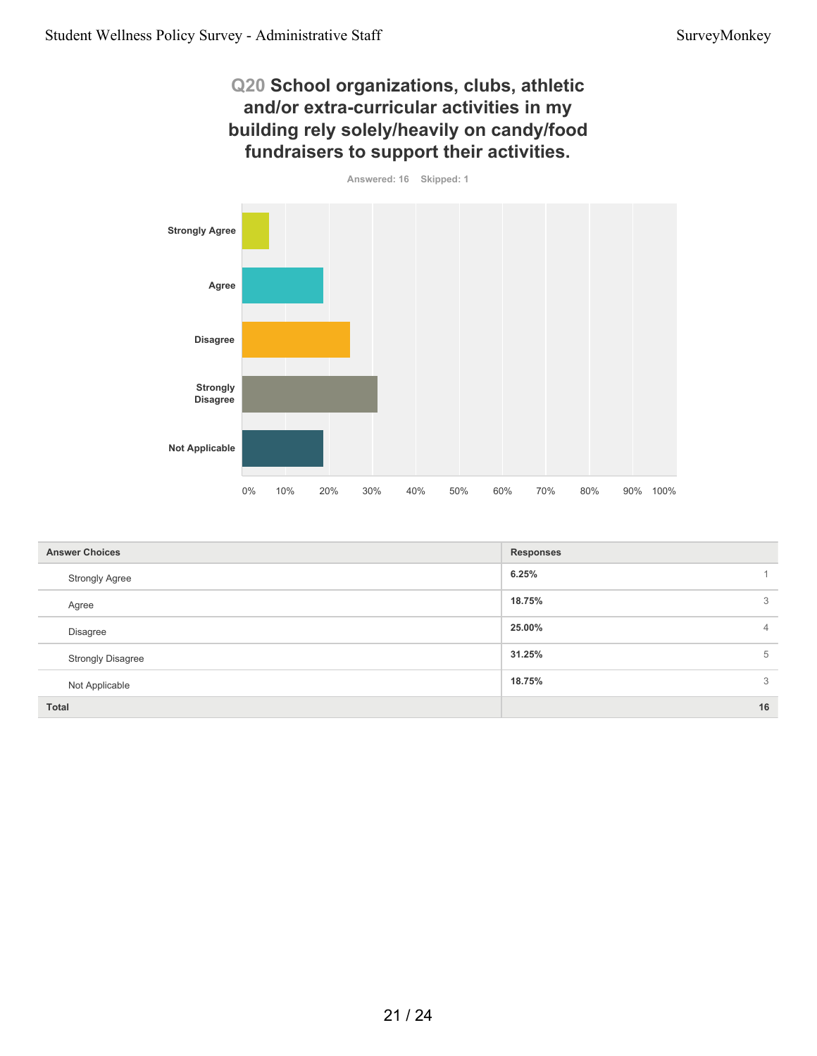# **Q20 School organizations, clubs, athletic and/or extra-curricular activities in my building rely solely/heavily on candy/food fundraisers to support their activities.**

**Answered: 16 Skipped: 1**



| <b>Answer Choices</b>    | <b>Responses</b>         |
|--------------------------|--------------------------|
| <b>Strongly Agree</b>    | 6.25%                    |
| Agree                    | 18.75%<br>3              |
| <b>Disagree</b>          | 25.00%<br>$\overline{4}$ |
| <b>Strongly Disagree</b> | 31.25%<br>5              |
| Not Applicable           | 3<br>18.75%              |
| <b>Total</b>             | 16                       |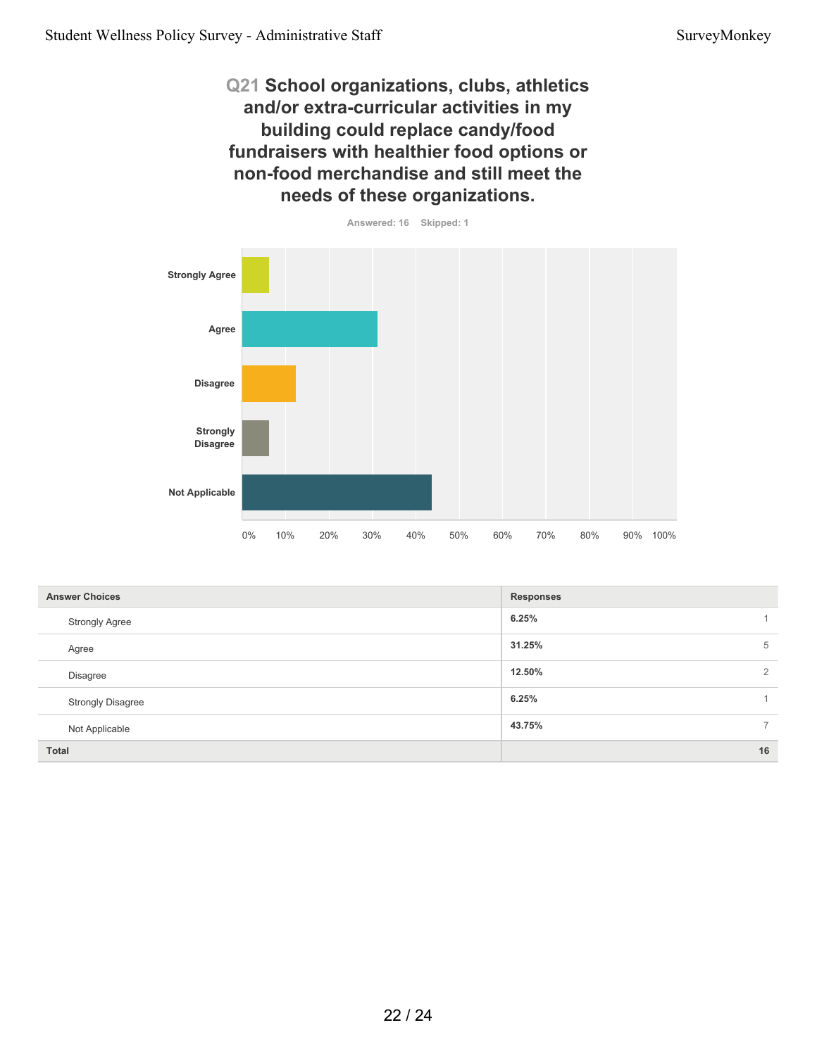**Q21 School organizations, clubs, athletics and/or extra-curricular activities in my building could replace candy/food fundraisers with healthier food options or non-food merchandise and still meet the needs of these organizations.**



| <b>Answer Choices</b>    | <b>Responses</b>         |
|--------------------------|--------------------------|
| <b>Strongly Agree</b>    | 6.25%                    |
| Agree                    | 31.25%<br>5              |
| Disagree                 | 12.50%<br>$\overline{2}$ |
| <b>Strongly Disagree</b> | 6.25%                    |
| Not Applicable           | 43.75%<br>$\overline{ }$ |
| Total                    | 16                       |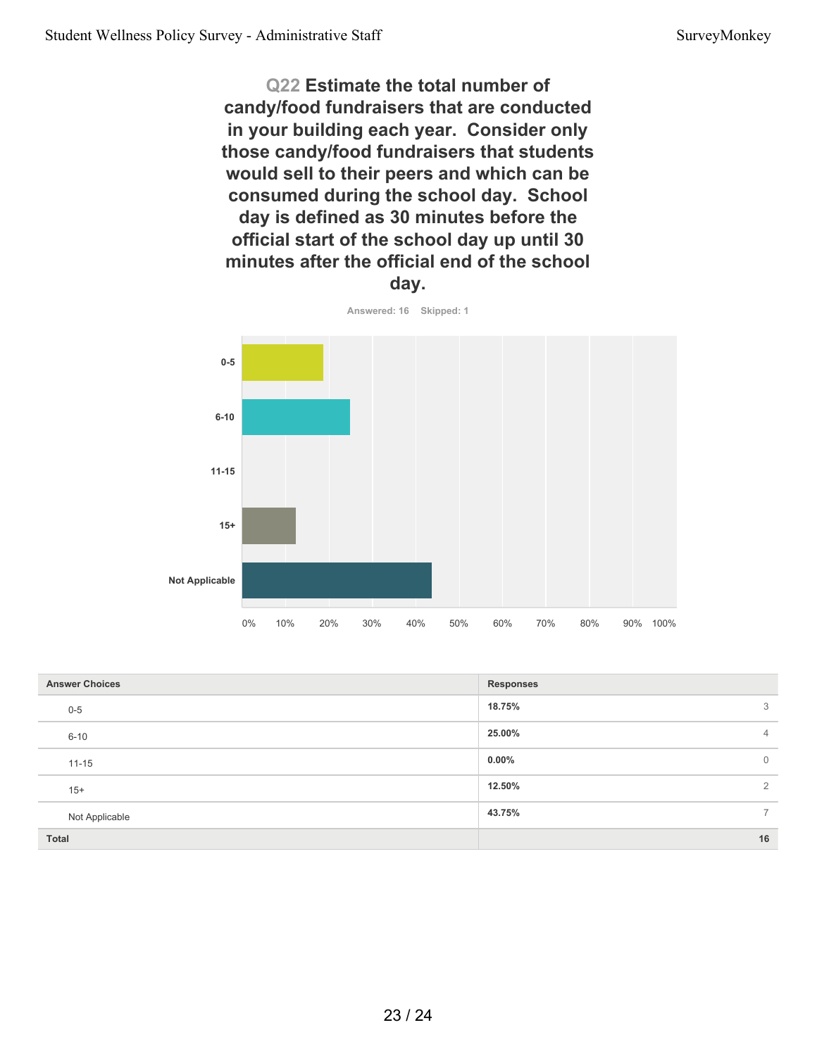**Q22 Estimate the total number of candy/food fundraisers that are conducted in your building each year. Consider only those candy/food fundraisers that students would sell to their peers and which can be consumed during the school day. School day is defined as 30 minutes before the official start of the school day up until 30 minutes after the official end of the school day.**



| <b>Answer Choices</b> | <b>Responses</b> |                |
|-----------------------|------------------|----------------|
| $0 - 5$               | 18.75%           | 3              |
| $6 - 10$              | 25.00%           | $\overline{4}$ |
| $11 - 15$             | $0.00\%$         | $\overline{0}$ |
| $15+$                 | 12.50%           | $\overline{2}$ |
| Not Applicable        | 43.75%           | $7^{\circ}$    |
| Total                 |                  | 16             |

**Answered: 16 Skipped: 1**